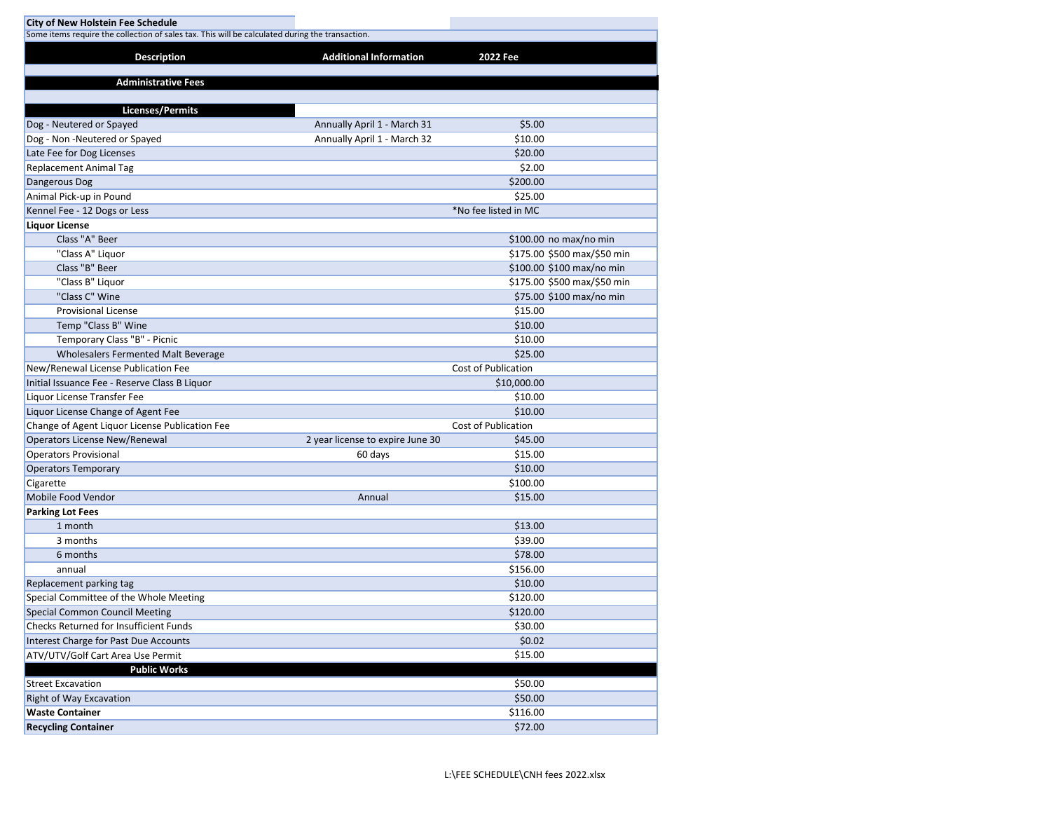| <b>City of New Holstein Fee Schedule</b>                                                        |                                  |                             |  |  |  |  |
|-------------------------------------------------------------------------------------------------|----------------------------------|-----------------------------|--|--|--|--|
| Some items require the collection of sales tax. This will be calculated during the transaction. |                                  |                             |  |  |  |  |
| <b>Description</b>                                                                              | <b>Additional Information</b>    | 2022 Fee                    |  |  |  |  |
|                                                                                                 |                                  |                             |  |  |  |  |
| <b>Administrative Fees</b>                                                                      |                                  |                             |  |  |  |  |
|                                                                                                 |                                  |                             |  |  |  |  |
| <b>Licenses/Permits</b>                                                                         |                                  |                             |  |  |  |  |
| Dog - Neutered or Spayed                                                                        | Annually April 1 - March 31      | \$5.00                      |  |  |  |  |
| Dog - Non - Neutered or Spayed                                                                  | Annually April 1 - March 32      | \$10.00                     |  |  |  |  |
| Late Fee for Dog Licenses                                                                       |                                  | \$20.00                     |  |  |  |  |
| <b>Replacement Animal Tag</b>                                                                   |                                  | \$2.00                      |  |  |  |  |
| Dangerous Dog                                                                                   |                                  | \$200.00                    |  |  |  |  |
| Animal Pick-up in Pound                                                                         |                                  | \$25.00                     |  |  |  |  |
| Kennel Fee - 12 Dogs or Less                                                                    |                                  | *No fee listed in MC        |  |  |  |  |
| <b>Liquor License</b>                                                                           |                                  |                             |  |  |  |  |
| Class "A" Beer                                                                                  |                                  | \$100.00 no max/no min      |  |  |  |  |
| "Class A" Liquor                                                                                |                                  | \$175.00 \$500 max/\$50 min |  |  |  |  |
| Class "B" Beer                                                                                  |                                  | \$100.00 \$100 max/no min   |  |  |  |  |
| "Class B" Liquor                                                                                |                                  | \$175.00 \$500 max/\$50 min |  |  |  |  |
| "Class C" Wine                                                                                  |                                  | \$75.00 \$100 max/no min    |  |  |  |  |
| <b>Provisional License</b>                                                                      |                                  | \$15.00                     |  |  |  |  |
| Temp "Class B" Wine                                                                             |                                  | \$10.00                     |  |  |  |  |
| Temporary Class "B" - Picnic                                                                    |                                  | \$10.00                     |  |  |  |  |
| Wholesalers Fermented Malt Beverage                                                             |                                  | \$25.00                     |  |  |  |  |
| New/Renewal License Publication Fee                                                             |                                  | Cost of Publication         |  |  |  |  |
| Initial Issuance Fee - Reserve Class B Liquor                                                   |                                  | \$10,000.00                 |  |  |  |  |
| Liquor License Transfer Fee                                                                     |                                  | \$10.00                     |  |  |  |  |
| Liquor License Change of Agent Fee                                                              |                                  | \$10.00                     |  |  |  |  |
| Change of Agent Liquor License Publication Fee                                                  |                                  | <b>Cost of Publication</b>  |  |  |  |  |
| Operators License New/Renewal                                                                   | 2 year license to expire June 30 | \$45.00                     |  |  |  |  |
| <b>Operators Provisional</b>                                                                    | 60 days                          | \$15.00                     |  |  |  |  |
| <b>Operators Temporary</b>                                                                      |                                  | \$10.00                     |  |  |  |  |
| Cigarette                                                                                       |                                  | \$100.00                    |  |  |  |  |
| Mobile Food Vendor                                                                              | Annual                           | \$15.00                     |  |  |  |  |
| <b>Parking Lot Fees</b>                                                                         |                                  |                             |  |  |  |  |
| 1 month                                                                                         |                                  | \$13.00                     |  |  |  |  |
| 3 months                                                                                        |                                  | \$39.00                     |  |  |  |  |
| 6 months                                                                                        |                                  | \$78.00                     |  |  |  |  |
| annual                                                                                          |                                  | \$156.00                    |  |  |  |  |
| Replacement parking tag                                                                         |                                  | \$10.00                     |  |  |  |  |
| Special Committee of the Whole Meeting                                                          |                                  | \$120.00                    |  |  |  |  |
| <b>Special Common Council Meeting</b>                                                           |                                  | \$120.00                    |  |  |  |  |
| <b>Checks Returned for Insufficient Funds</b>                                                   |                                  | \$30.00                     |  |  |  |  |
| Interest Charge for Past Due Accounts                                                           |                                  | \$0.02                      |  |  |  |  |
| ATV/UTV/Golf Cart Area Use Permit                                                               |                                  | \$15.00                     |  |  |  |  |
| <b>Public Works</b>                                                                             |                                  |                             |  |  |  |  |
| <b>Street Excavation</b>                                                                        |                                  | \$50.00                     |  |  |  |  |
| Right of Way Excavation                                                                         |                                  | \$50.00                     |  |  |  |  |
| <b>Waste Container</b>                                                                          |                                  | \$116.00                    |  |  |  |  |
| <b>Recycling Container</b>                                                                      |                                  | \$72.00                     |  |  |  |  |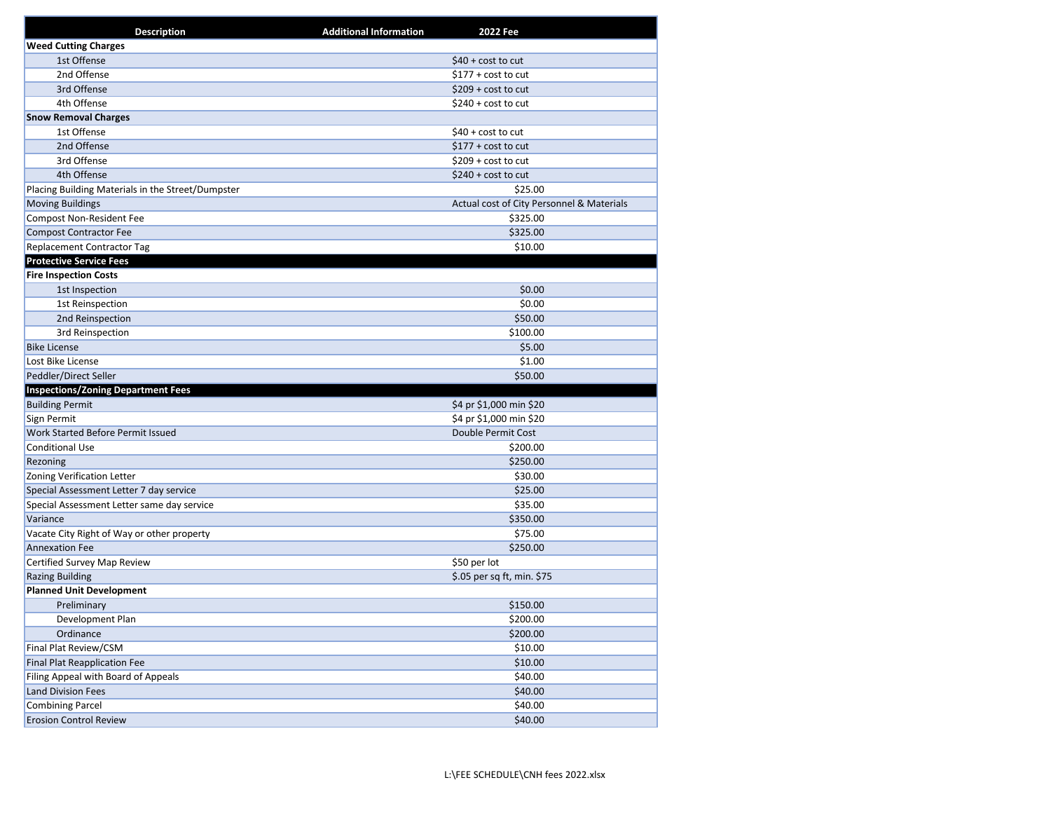| <b>Description</b>                                | <b>Additional Information</b><br>2022 Fee |
|---------------------------------------------------|-------------------------------------------|
| <b>Weed Cutting Charges</b>                       |                                           |
| 1st Offense                                       | $$40 + cost to cut$                       |
| 2nd Offense                                       | $$177 + cost to cut$                      |
| 3rd Offense                                       | $$209 + cost to cut$                      |
| 4th Offense                                       | $$240 + cost to cut$                      |
| <b>Snow Removal Charges</b>                       |                                           |
| 1st Offense                                       | $$40 + cost to cut$                       |
| 2nd Offense                                       | $$177 + cost to cut$                      |
| 3rd Offense                                       | $$209 + cost to cut$                      |
| 4th Offense                                       | $$240 + cost to cut$                      |
| Placing Building Materials in the Street/Dumpster | \$25.00                                   |
| <b>Moving Buildings</b>                           | Actual cost of City Personnel & Materials |
| <b>Compost Non-Resident Fee</b>                   | \$325.00                                  |
| <b>Compost Contractor Fee</b>                     | \$325.00                                  |
| Replacement Contractor Tag                        | \$10.00                                   |
| <b>Protective Service Fees</b>                    |                                           |
| <b>Fire Inspection Costs</b>                      |                                           |
| 1st Inspection                                    | \$0.00                                    |
| 1st Reinspection                                  | \$0.00                                    |
| 2nd Reinspection                                  | \$50.00                                   |
| 3rd Reinspection                                  | \$100.00                                  |
| <b>Bike License</b>                               | \$5.00                                    |
| Lost Bike License                                 | \$1.00                                    |
| Peddler/Direct Seller                             | \$50.00                                   |
| <b>Inspections/Zoning Department Fees</b>         |                                           |
| <b>Building Permit</b>                            | \$4 pr \$1,000 min \$20                   |
| Sign Permit                                       | \$4 pr \$1,000 min \$20                   |
| Work Started Before Permit Issued                 | Double Permit Cost                        |
| <b>Conditional Use</b>                            | \$200.00                                  |
| Rezoning                                          | \$250.00                                  |
| Zoning Verification Letter                        | \$30.00                                   |
| Special Assessment Letter 7 day service           | \$25.00                                   |
| Special Assessment Letter same day service        | \$35.00                                   |
| Variance                                          | \$350.00                                  |
| Vacate City Right of Way or other property        | \$75.00                                   |
| <b>Annexation Fee</b>                             | \$250.00                                  |
| Certified Survey Map Review                       | \$50 per lot                              |
| <b>Razing Building</b>                            | \$.05 per sq ft, min. \$75                |
| <b>Planned Unit Development</b>                   |                                           |
| Preliminary                                       | \$150.00                                  |
| Development Plan                                  | \$200.00                                  |
| Ordinance                                         | \$200.00                                  |
| Final Plat Review/CSM                             | \$10.00                                   |
| <b>Final Plat Reapplication Fee</b>               | \$10.00                                   |
| Filing Appeal with Board of Appeals               | \$40.00                                   |
| <b>Land Division Fees</b>                         | \$40.00                                   |
| <b>Combining Parcel</b>                           | \$40.00                                   |
| <b>Erosion Control Review</b>                     | \$40.00                                   |